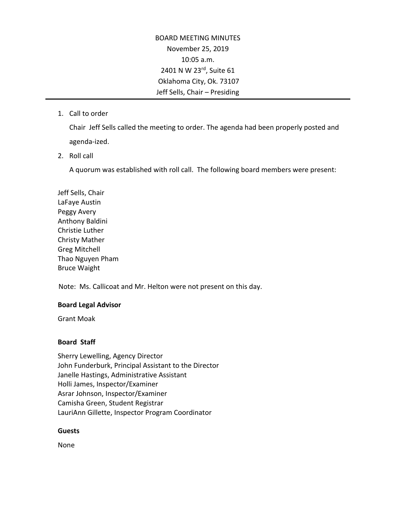BOARD MEETING MINUTES November 25, 2019 10:05 a.m. 2401 N W 23rd, Suite 61 Oklahoma City, Ok. 73107 Jeff Sells, Chair – Presiding

1. Call to order

Chair Jeff Sells called the meeting to order. The agenda had been properly posted and agenda-ized.

2. Roll call

A quorum was established with roll call. The following board members were present:

Jeff Sells, Chair LaFaye Austin Peggy Avery Anthony Baldini Christie Luther Christy Mather Greg Mitchell Thao Nguyen Pham Bruce Waight

Note: Ms. Callicoat and Mr. Helton were not present on this day.

## **Board Legal Advisor**

Grant Moak

## **Board Staff**

Sherry Lewelling, Agency Director John Funderburk, Principal Assistant to the Director Janelle Hastings, Administrative Assistant Holli James, Inspector/Examiner Asrar Johnson, Inspector/Examiner Camisha Green, Student Registrar LauriAnn Gillette, Inspector Program Coordinator

# **Guests**

None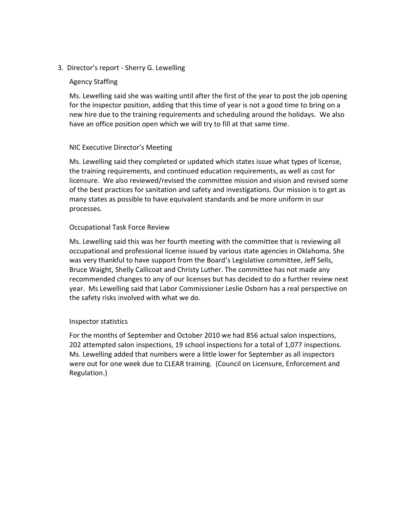## 3. Director's report - Sherry G. Lewelling

## Agency Staffing

Ms. Lewelling said she was waiting until after the first of the year to post the job opening for the inspector position, adding that this time of year is not a good time to bring on a new hire due to the training requirements and scheduling around the holidays. We also have an office position open which we will try to fill at that same time.

## NIC Executive Director's Meeting

Ms. Lewelling said they completed or updated which states issue what types of license, the training requirements, and continued education requirements, as well as cost for licensure. We also reviewed/revised the committee mission and vision and revised some of the best practices for sanitation and safety and investigations. Our mission is to get as many states as possible to have equivalent standards and be more uniform in our processes.

## Occupational Task Force Review

Ms. Lewelling said this was her fourth meeting with the committee that is reviewing all occupational and professional license issued by various state agencies in Oklahoma. She was very thankful to have support from the Board's Legislative committee, Jeff Sells, Bruce Waight, Shelly Callicoat and Christy Luther. The committee has not made any recommended changes to any of our licenses but has decided to do a further review next year. Ms Lewelling said that Labor Commissioner Leslie Osborn has a real perspective on the safety risks involved with what we do.

# Inspector statistics

For the months of September and October 2010 we had 856 actual salon inspections, 202 attempted salon inspections, 19 school inspections for a total of 1,077 inspections. Ms. Lewelling added that numbers were a little lower for September as all inspectors were out for one week due to CLEAR training. (Council on Licensure, Enforcement and Regulation.)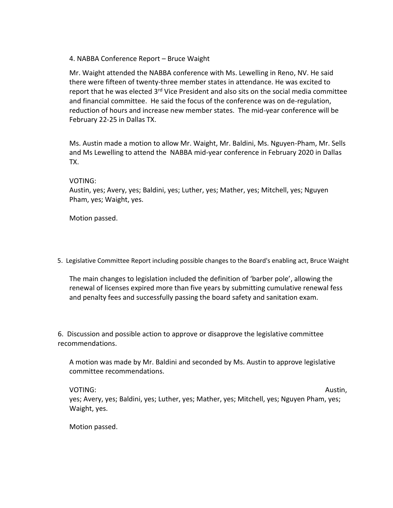## 4. NABBA Conference Report – Bruce Waight

Mr. Waight attended the NABBA conference with Ms. Lewelling in Reno, NV. He said there were fifteen of twenty-three member states in attendance. He was excited to report that he was elected 3<sup>rd</sup> Vice President and also sits on the social media committee and financial committee. He said the focus of the conference was on de-regulation, reduction of hours and increase new member states. The mid-year conference will be February 22-25 in Dallas TX.

Ms. Austin made a motion to allow Mr. Waight, Mr. Baldini, Ms. Nguyen-Pham, Mr. Sells and Ms Lewelling to attend the NABBA mid-year conference in February 2020 in Dallas TX.

## VOTING:

Austin, yes; Avery, yes; Baldini, yes; Luther, yes; Mather, yes; Mitchell, yes; Nguyen Pham, yes; Waight, yes.

Motion passed.

5. Legislative Committee Report including possible changes to the Board's enabling act, Bruce Waight

The main changes to legislation included the definition of 'barber pole', allowing the renewal of licenses expired more than five years by submitting cumulative renewal fess and penalty fees and successfully passing the board safety and sanitation exam.

6. Discussion and possible action to approve or disapprove the legislative committee recommendations.

A motion was made by Mr. Baldini and seconded by Ms. Austin to approve legislative committee recommendations.

VOTING: Austin, Australian Management of the Contract of the Contract of Austin, Austin, yes; Avery, yes; Baldini, yes; Luther, yes; Mather, yes; Mitchell, yes; Nguyen Pham, yes; Waight, yes.

Motion passed.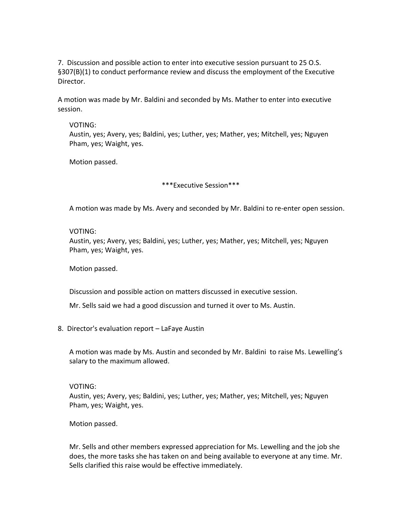7. Discussion and possible action to enter into executive session pursuant to 25 O.S. §307(B)(1) to conduct performance review and discuss the employment of the Executive Director.

A motion was made by Mr. Baldini and seconded by Ms. Mather to enter into executive session.

#### VOTING:

Austin, yes; Avery, yes; Baldini, yes; Luther, yes; Mather, yes; Mitchell, yes; Nguyen Pham, yes; Waight, yes.

Motion passed.

\*\*\*Executive Session\*\*\*

A motion was made by Ms. Avery and seconded by Mr. Baldini to re-enter open session.

#### VOTING:

Austin, yes; Avery, yes; Baldini, yes; Luther, yes; Mather, yes; Mitchell, yes; Nguyen Pham, yes; Waight, yes.

Motion passed.

Discussion and possible action on matters discussed in executive session.

Mr. Sells said we had a good discussion and turned it over to Ms. Austin.

8. Director's evaluation report – LaFaye Austin

A motion was made by Ms. Austin and seconded by Mr. Baldini to raise Ms. Lewelling's salary to the maximum allowed.

#### VOTING:

Austin, yes; Avery, yes; Baldini, yes; Luther, yes; Mather, yes; Mitchell, yes; Nguyen Pham, yes; Waight, yes.

Motion passed.

Mr. Sells and other members expressed appreciation for Ms. Lewelling and the job she does, the more tasks she has taken on and being available to everyone at any time. Mr. Sells clarified this raise would be effective immediately.